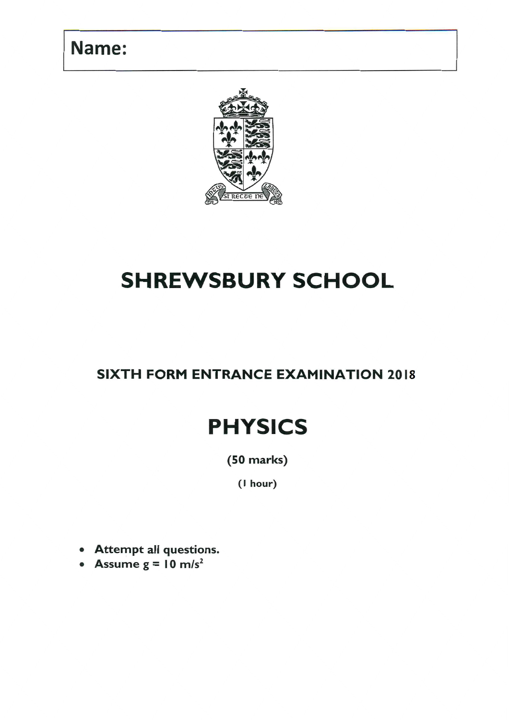## Name:



# **SHREWSBURY SCHOOL**

## **SIXTH FORM ENTRANCE EXAMINATION 2018**

# **PHYSICS**

 $(50$  marks $)$ 

(I hour)

- Attempt all questions.
- Assume  $g = 10$  m/s<sup>2</sup>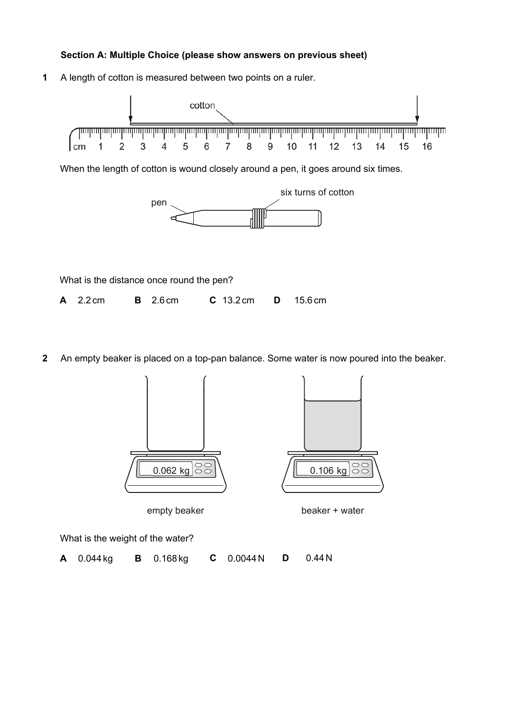#### **Section A: Multiple Choice (please show answers on previous sheet)**

**1** A length of cotton is measured between two points on a ruler. cotton 3 5 9  $\overline{2}$  $\overline{4}$ 6 8  $10$  $11$  $12$ 13 14 15 16 l cm 1  $\overline{7}$ 

When the length of cotton is wound closely around a pen, it goes around six times.



What is the distance once round the pen? **A** 2.2 cm **B** 2.6 cm **C** 13.2 cm **D** 15.6 cm

**2** An empty beaker is placed on a top-pan balance. Some water is now poured into the beaker.





What is the weight of the water?

**A** 0.044 kg **B** 0.168 kg **C** 0.0044N **D** 0.44N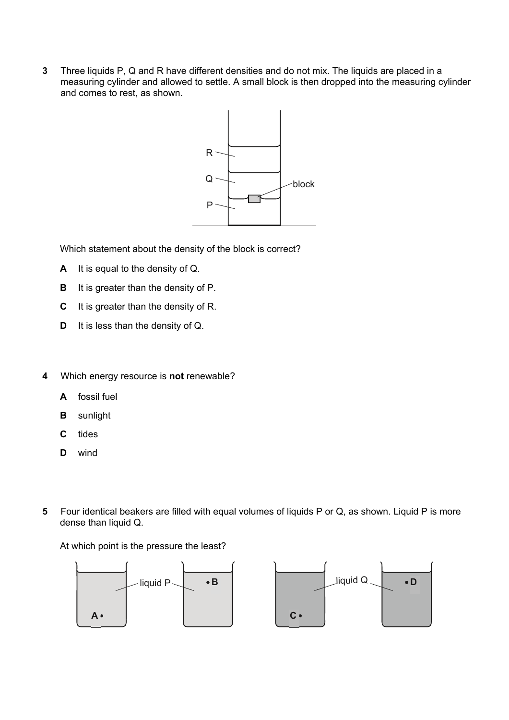**3** Three liquids P, Q and R have different densities and do not mix. The liquids are placed in a measuring cylinder and allowed to settle. A small block is then dropped into the measuring cylinder and comes to rest, as shown.



Which statement about the density of the block is correct?

- **A** It is equal to the density of Q.
- **B** It is greater than the density of P.
- **C** It is greater than the density of R.
- **D** It is less than the density of Q.
- **4** Which energy resource is **not** renewable?
	- **A** fossil fuel
	- **B** sunlight
	- **C** tides
	- **D** wind
- **5** Four identical beakers are filled with equal volumes of liquids P or Q, as shown. Liquid P is more dense than liquid Q.

At which point is the pressure the least?

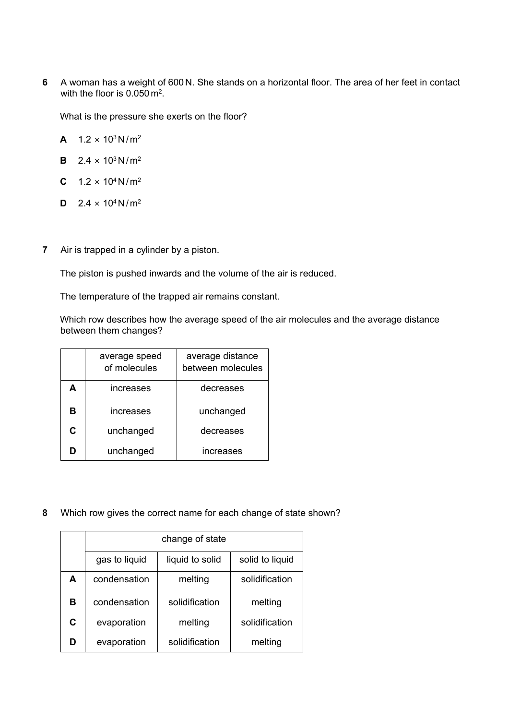**6** A woman has a weight of 600N. She stands on a horizontal floor. The area of her feet in contact with the floor is 0.050 m<sup>2</sup>.

What is the pressure she exerts on the floor?

**A**  $1.2 \times 10^3 \text{ N/m}^2$ 

- **B**  $2.4 \times 10^3 \text{ N/m}^2$
- **C**  $1.2 \times 10^4$  N/m<sup>2</sup>
- **D**  $2.4 \times 10^4$  N/m<sup>2</sup>
- **7** Air is trapped in a cylinder by a piston.

The piston is pushed inwards and the volume of the air is reduced.

The temperature of the trapped air remains constant.

Which row describes how the average speed of the air molecules and the average distance between them changes?

|   | average speed<br>of molecules | average distance<br>between molecules |
|---|-------------------------------|---------------------------------------|
| А | increases                     | decreases                             |
| в | increases                     | unchanged                             |
| C | unchanged                     | decreases                             |
| D | unchanged                     | increases                             |

**8** Which row gives the correct name for each change of state shown?

|   | change of state |                 |                 |  |  |  |
|---|-----------------|-----------------|-----------------|--|--|--|
|   | gas to liquid   | liquid to solid | solid to liquid |  |  |  |
| A | condensation    | melting         | solidification  |  |  |  |
| в | condensation    | solidification  | melting         |  |  |  |
| C | evaporation     | melting         | solidification  |  |  |  |
|   | evaporation     | solidification  | melting         |  |  |  |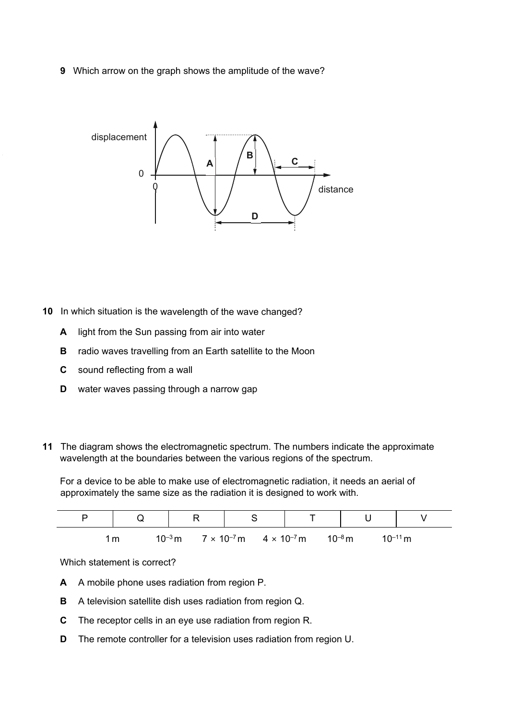**9** Which arrow on the graph shows the amplitude of the wave?



- **10** In which situation is the wavelength of the wave changed?
	- **A** light from the Sun passing from air into water
	- **B** radio waves travelling from an Earth satellite to the Moon
	- **C** sound reflecting from a wall
	- **D** water waves passing through a narrow gap
- **11** The diagram shows the electromagnetic spectrum. The numbers indicate the approximate wavelength at the boundaries between the various regions of the spectrum.

For a device to be able to make use of electromagnetic radiation, it needs an aerial of approximately the same size as the radiation it is designed to work with.

| $\check{ }$ |             |                                              |             |              |
|-------------|-------------|----------------------------------------------|-------------|--------------|
| m           | $10^{-3}$ m | $7 \times 10^{-7}$ m<br>$4 \times 10^{-7}$ m | $10^{-8}$ m | $10^{-11}$ m |

Which statement is correct?

- **A** A mobile phone uses radiation from region P.
- **B** A television satellite dish uses radiation from region Q.
- **C** The receptor cells in an eye use radiation from region R.
- **D** The remote controller for a television uses radiation from region U.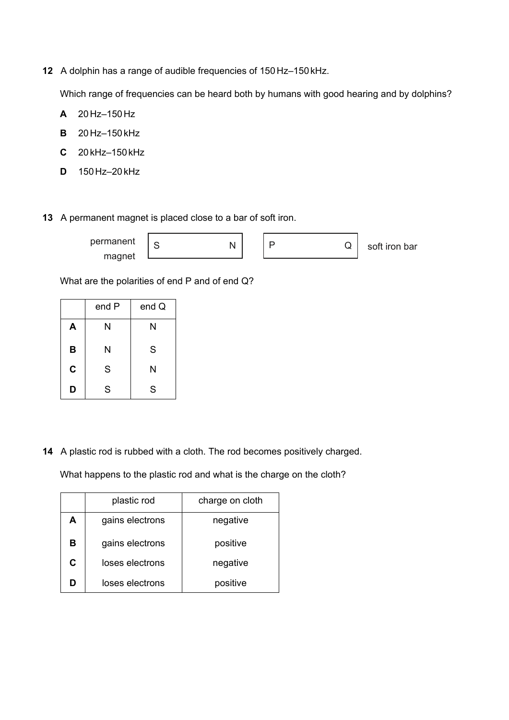**12** A dolphin has a range of audible frequencies of 150 Hz–150kHz.

Which range of frequencies can be heard both by humans with good hearing and by dolphins?

- **A** 20Hz–150Hz
- **B** 20Hz–150kHz
- **C** 20 kHz–150kHz
- **D** 150Hz–20kHz
- **13** A permanent magnet is placed close to a bar of soft iron.

| nermanent |  |  |
|-----------|--|--|
| magnet    |  |  |

soft iron bar

What are the polarities of end P and of end Q?

|   | end P | end Q |
|---|-------|-------|
| A | N     | N     |
| B | N     | S     |
| C | S     | N     |
| D | S     | S     |

**14** A plastic rod is rubbed with a cloth. The rod becomes positively charged.

What happens to the plastic rod and what is the charge on the cloth?

|   | plastic rod     | charge on cloth |
|---|-----------------|-----------------|
| A | gains electrons | negative        |
| в | gains electrons | positive        |
| C | loses electrons | negative        |
|   | loses electrons | positive        |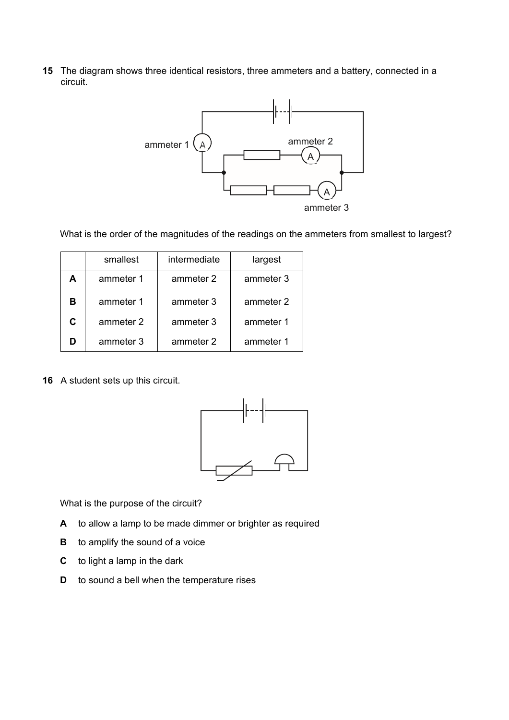**15** The diagram shows three identical resistors, three ammeters and a battery, connected in a circuit.



What is the order of the magnitudes of the readings on the ammeters from smallest to largest?

|   | smallest  | intermediate | largest   |
|---|-----------|--------------|-----------|
| А | ammeter 1 | ammeter 2    | ammeter 3 |
| в | ammeter 1 | ammeter 3    | ammeter 2 |
| C | ammeter 2 | ammeter 3    | ammeter 1 |
|   | ammeter 3 | ammeter 2    | ammeter 1 |

**16** A student sets up this circuit.



What is the purpose of the circuit?

- **A** to allow a lamp to be made dimmer or brighter as required
- **B** to amplify the sound of a voice
- **C** to light a lamp in the dark
- **D** to sound a bell when the temperature rises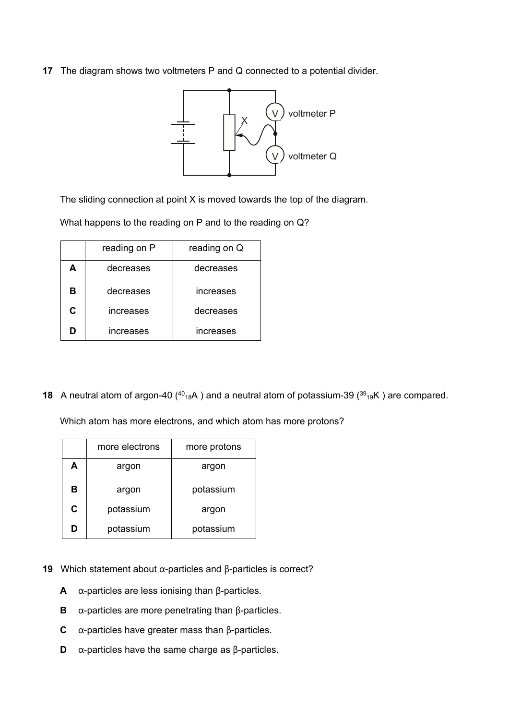**17** The diagram shows two voltmeters P and Q connected to a potential divider.



The sliding connection at point X is moved towards the top of the diagram.

What happens to the reading on P and to the reading on Q?

|    | reading on P | reading on Q |
|----|--------------|--------------|
| А  | decreases    | decreases    |
| в  | decreases    | increases    |
| r. | increases    | decreases    |
| n  | increases    | increases    |

**18** A neutral atom of argon-40  $(^{40}_{18}A)$  and a neutral atom of potassium-39  $(^{39}_{19}K)$  are compared.

Which atom has more electrons, and which atom has more protons?

|   | more electrons | more protons |
|---|----------------|--------------|
| А | argon          | argon        |
| в | argon          | potassium    |
| C | potassium      | argon        |
| D | potassium      | potassium    |

- **19** Which statement about α-particles and β-particles is correct?
	- **A** α-particles are less ionising than β-particles.
	- **B** α-particles are more penetrating than β-particles.
	- **C** α-particles have greater mass than β-particles.
	- **D** α-particles have the same charge as β-particles.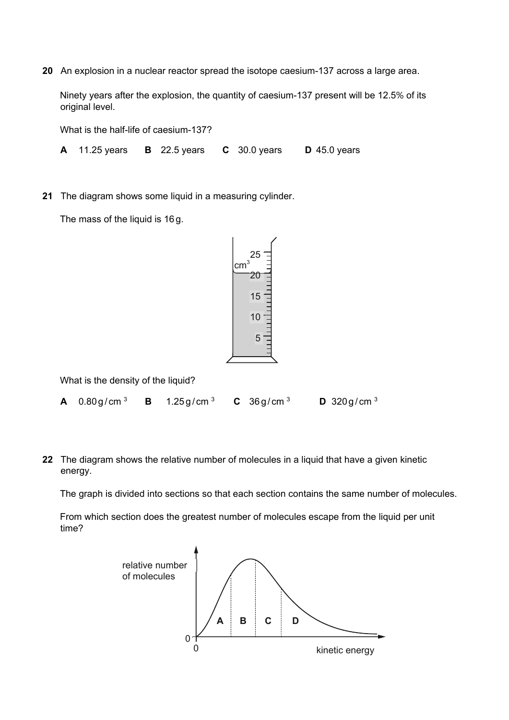**20** An explosion in a nuclear reactor spread the isotope caesium-137 across a large area.

Ninety years after the explosion, the quantity of caesium-137 present will be 12.5% of its original level.

What is the half-life of caesium-137?

**A** 11.25 years **B** 22.5 years **C** 30.0 years **D** 45.0 years

**21** The diagram shows some liquid in a measuring cylinder.

The mass of the liquid is 16 g.

$$
\begin{array}{r}\n 25 \\
\hline\n 20 \\
\hline\n 15 \\
\hline\n 10 \\
\hline\n 5 \\
\hline\n 1\n \end{array}
$$

What is the density of the liquid?

| <b>A</b> 0.80g/cm <sup>3</sup> | 1.25 g/cm $^{\rm 3}$ | <b>C</b> 36g/cm $3$ | <b>D</b> 320g/cm <sup>3</sup> |
|--------------------------------|----------------------|---------------------|-------------------------------|
|                                |                      |                     |                               |

**22** The diagram shows the relative number of molecules in a liquid that have a given kinetic energy.

The graph is divided into sections so that each section contains the same number of molecules.

From which section does the greatest number of molecules escape from the liquid per unit time?

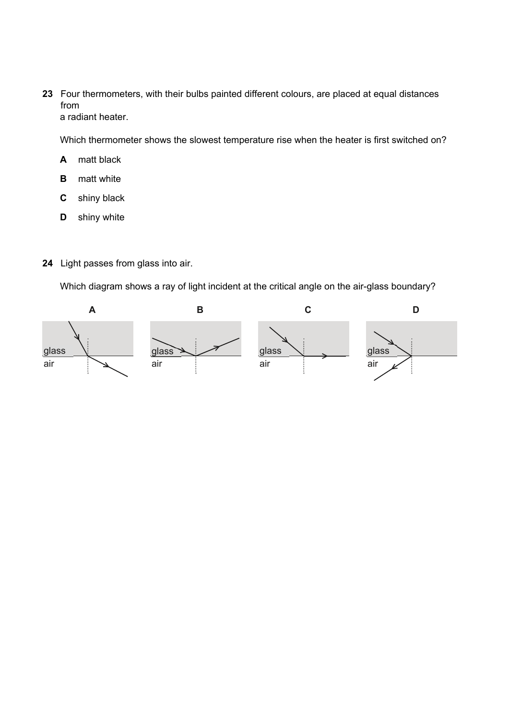**23** Four thermometers, with their bulbs painted different colours, are placed at equal distances from a radiant heater.

Which thermometer shows the slowest temperature rise when the heater is first switched on?

- **A** matt black
- **B** matt white
- **C** shiny black
- **D** shiny white
- **24** Light passes from glass into air.

Which diagram shows a ray of light incident at the critical angle on the air-glass boundary?

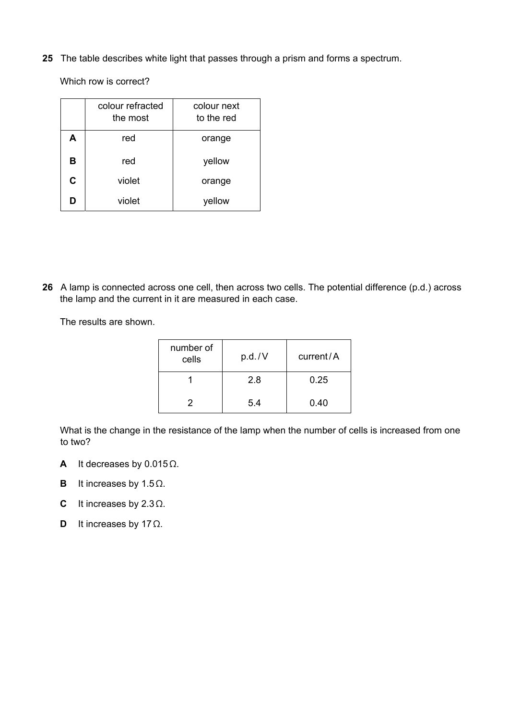**25** The table describes white light that passes through a prism and forms a spectrum.

Which row is correct?

|   | colour refracted<br>the most | colour next<br>to the red |
|---|------------------------------|---------------------------|
| A | red                          | orange                    |
| в | red                          | yellow                    |
| C | violet                       | orange                    |
| D | violet                       | yellow                    |

**26** A lamp is connected across one cell, then across two cells. The potential difference (p.d.) across the lamp and the current in it are measured in each case.

The results are shown.

| number of<br>cells | p.d./V | current/A |
|--------------------|--------|-----------|
|                    | 2.8    | 0.25      |
| 2                  | 5.4    | 0.40      |

What is the change in the resistance of the lamp when the number of cells is increased from one to two?

- **A** It decreases by 0.015Ω.
- **B** It increases by 1.5Ω.
- **C** It increases by 2.3Ω.
- **D** It increases by 17Ω.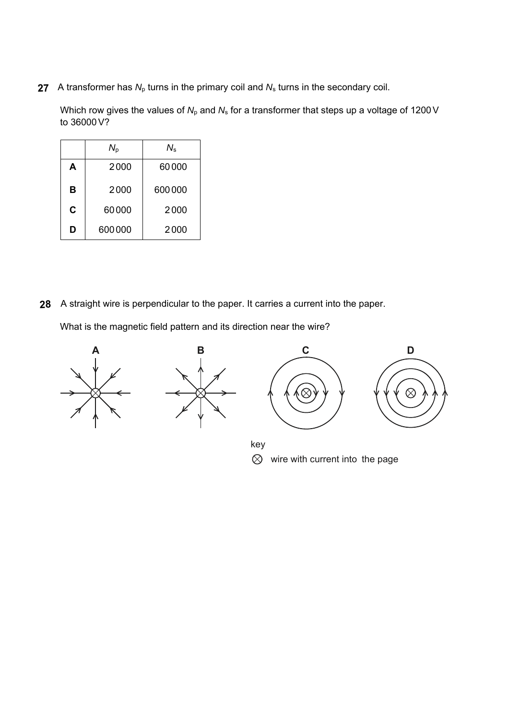**27** A transformer has  $N_p$  turns in the primary coil and  $N_s$  turns in the secondary coil.

Which row gives the values of  $N_p$  and  $N_s$  for a transformer that steps up a voltage of 1200 V to 36000V?

|   | $N_{\scriptscriptstyle{\mathrm{p}}}$ | $N_{\rm s}$ |
|---|--------------------------------------|-------------|
| A | 2000                                 | 60000       |
| B | 2000                                 | 600000      |
| C | 60000                                | 2000        |
| D | 600000                               | 2000        |

A straight wire is perpendicular to the paper. It carries a current into the paper. **28**

What is the magnetic field pattern and its direction near the wire?

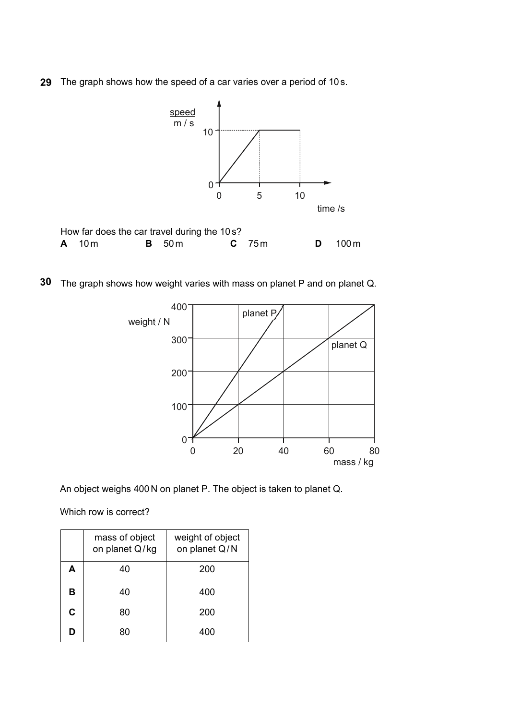The graph shows how the speed of a car varies over a period of 10 s. **29**



The graph shows how weight varies with mass on planet P and on planet Q. **30**



An object weighs 400 N on planet P. The object is taken to planet Q.

Which row is correct?

|   | mass of object<br>on planet Q/kg | weight of object<br>on planet Q/N |
|---|----------------------------------|-----------------------------------|
| A | 40                               | 200                               |
| B | 40                               | 400                               |
| C | 80                               | 200                               |
| D | 80                               | 400                               |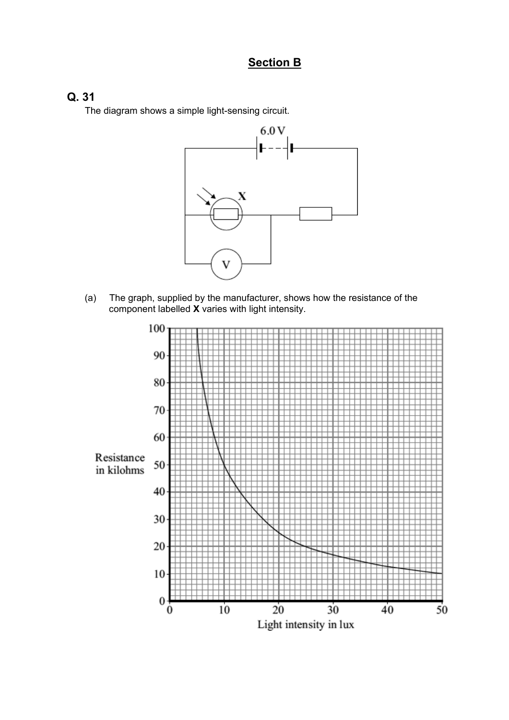### **Section B**

### **Q. 31**

The diagram shows a simple light-sensing circuit.



(a) The graph, supplied by the manufacturer, shows how the resistance of the component labelled **X** varies with light intensity.

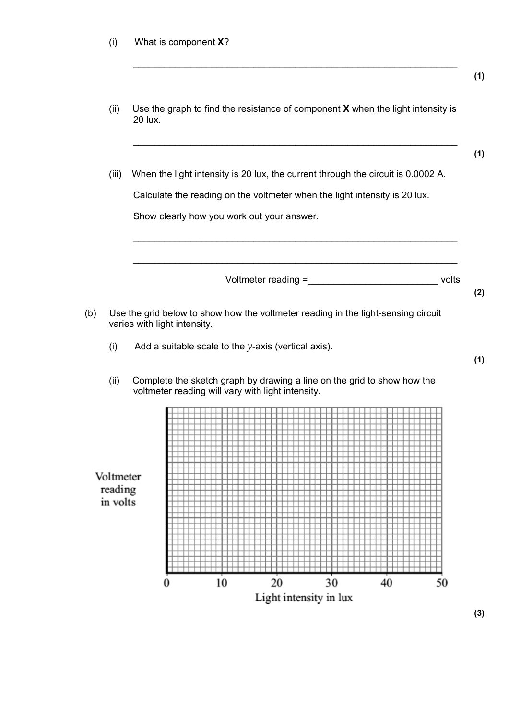(ii) Use the graph to find the resistance of component **X** when the light intensity is 20 lux.

 $\_$  , and the set of the set of the set of the set of the set of the set of the set of the set of the set of the set of the set of the set of the set of the set of the set of the set of the set of the set of the set of th

(iii) When the light intensity is 20 lux, the current through the circuit is 0.0002 A. Calculate the reading on the voltmeter when the light intensity is 20 lux. Show clearly how you work out your answer.

\_\_\_\_\_\_\_\_\_\_\_\_\_\_\_\_\_\_\_\_\_\_\_\_\_\_\_\_\_\_\_\_\_\_\_\_\_\_\_\_\_\_\_\_\_\_\_\_\_\_\_\_\_\_\_\_\_\_\_\_\_\_

\_\_\_\_\_\_\_\_\_\_\_\_\_\_\_\_\_\_\_\_\_\_\_\_\_\_\_\_\_\_\_\_\_\_\_\_\_\_\_\_\_\_\_\_\_\_\_\_\_\_\_\_\_\_\_\_\_\_\_\_\_\_

Voltmeter reading = state of the volts

**(2)** 

**(1)** 

**(1)** 

**(1)** 

- (b) Use the grid below to show how the voltmeter reading in the light-sensing circuit varies with light intensity.
	- (i) Add a suitable scale to the *y*-axis (vertical axis).
	- (ii) Complete the sketch graph by drawing a line on the grid to show how the voltmeter reading will vary with light intensity.

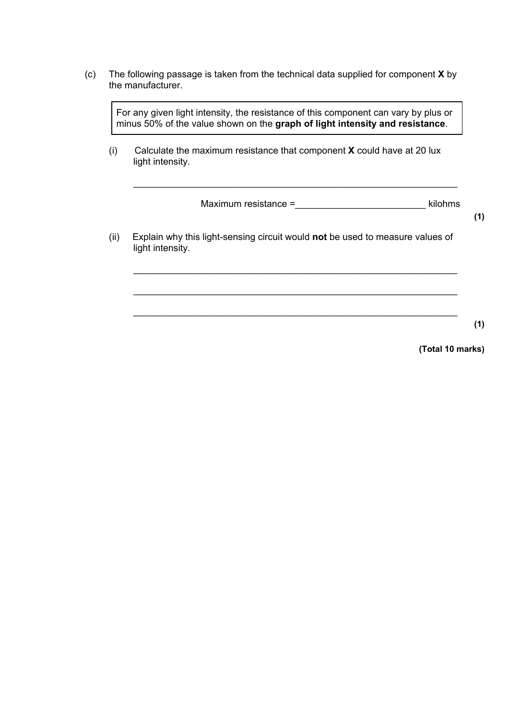(c) The following passage is taken from the technical data supplied for component **X** by the manufacturer.

For any given light intensity, the resistance of this component can vary by plus or minus 50% of the value shown on the **graph of light intensity and resistance**.

(i) Calculate the maximum resistance that component **X** could have at 20 lux light intensity.

Maximum resistance =\_\_\_\_\_\_\_\_\_\_\_\_\_\_\_\_\_\_\_\_\_\_\_\_\_ kilohms

 $\_$ 

\_\_\_\_\_\_\_\_\_\_\_\_\_\_\_\_\_\_\_\_\_\_\_\_\_\_\_\_\_\_\_\_\_\_\_\_\_\_\_\_\_\_\_\_\_\_\_\_\_\_\_\_\_\_\_\_\_\_\_\_\_\_

**(1)** 

(ii) Explain why this light-sensing circuit would **not** be used to measure values of light intensity.

**(1)** 

**(Total 10 marks)**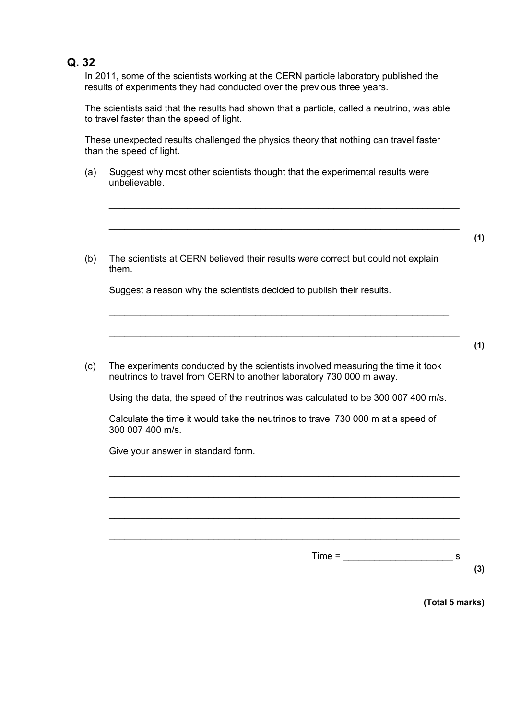#### **Q. 32**

In 2011, some of the scientists working at the CERN particle laboratory published the results of experiments they had conducted over the previous three years.

The scientists said that the results had shown that a particle, called a neutrino, was able to travel faster than the speed of light.

These unexpected results challenged the physics theory that nothing can travel faster than the speed of light.

(a) Suggest why most other scientists thought that the experimental results were unbelievable.

\_\_\_\_\_\_\_\_\_\_\_\_\_\_\_\_\_\_\_\_\_\_\_\_\_\_\_\_\_\_\_\_\_\_\_\_\_\_\_\_\_\_\_\_\_\_\_\_\_\_\_\_\_\_\_\_\_\_\_\_\_\_\_\_\_\_\_

\_\_\_\_\_\_\_\_\_\_\_\_\_\_\_\_\_\_\_\_\_\_\_\_\_\_\_\_\_\_\_\_\_\_\_\_\_\_\_\_\_\_\_\_\_\_\_\_\_\_\_\_\_\_\_\_\_\_\_\_\_\_\_\_\_\_\_

(b) The scientists at CERN believed their results were correct but could not explain them.

Suggest a reason why the scientists decided to publish their results.

(c) The experiments conducted by the scientists involved measuring the time it took neutrinos to travel from CERN to another laboratory 730 000 m away.

Using the data, the speed of the neutrinos was calculated to be 300 007 400 m/s.

\_\_\_\_\_\_\_\_\_\_\_\_\_\_\_\_\_\_\_\_\_\_\_\_\_\_\_\_\_\_\_\_\_\_\_\_\_\_\_\_\_\_\_\_\_\_\_\_\_\_\_\_\_\_\_\_\_\_\_\_\_\_\_\_\_

Calculate the time it would take the neutrinos to travel 730 000 m at a speed of 300 007 400 m/s.

\_\_\_\_\_\_\_\_\_\_\_\_\_\_\_\_\_\_\_\_\_\_\_\_\_\_\_\_\_\_\_\_\_\_\_\_\_\_\_\_\_\_\_\_\_\_\_\_\_\_\_\_\_\_\_\_\_\_\_\_\_\_\_\_\_\_\_

\_\_\_\_\_\_\_\_\_\_\_\_\_\_\_\_\_\_\_\_\_\_\_\_\_\_\_\_\_\_\_\_\_\_\_\_\_\_\_\_\_\_\_\_\_\_\_\_\_\_\_\_\_\_\_\_\_\_\_\_\_\_\_\_\_\_\_

 $\_$  , and the set of the set of the set of the set of the set of the set of the set of the set of the set of the set of the set of the set of the set of the set of the set of the set of the set of the set of the set of th

 $\_$  , and the set of the set of the set of the set of the set of the set of the set of the set of the set of the set of the set of the set of the set of the set of the set of the set of the set of the set of the set of th

Give your answer in standard form.

 $Time =$   $\frac{1}{s}$  s

**(3)** 

 **(Total 5 marks)** 

**(1)**